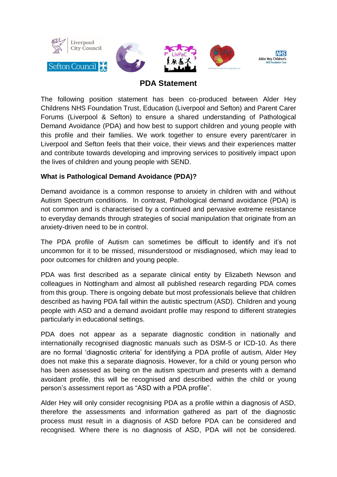

# **PDA Statement**

The following position statement has been co-produced between Alder Hey Childrens NHS Foundation Trust, Education (Liverpool and Sefton) and Parent Carer Forums (Liverpool & Sefton) to ensure a shared understanding of Pathological Demand Avoidance (PDA) and how best to support children and young people with this profile and their families. We work together to ensure every parent/carer in Liverpool and Sefton feels that their voice, their views and their experiences matter and contribute towards developing and improving services to positively impact upon the lives of children and young people with SEND.

## **What is Pathological Demand Avoidance (PDA)?**

Demand avoidance is a common response to anxiety in children with and without Autism Spectrum conditions. In contrast, Pathological demand avoidance (PDA) is not common and is characterised by a continued and pervasive extreme resistance to everyday demands through strategies of social manipulation that originate from an anxiety-driven need to be in control.

The PDA profile of Autism can sometimes be difficult to identify and it's not uncommon for it to be missed, misunderstood or misdiagnosed, which may lead to poor outcomes for children and young people.

PDA was first described as a separate clinical entity by Elizabeth Newson and colleagues in Nottingham and almost all published research regarding PDA comes from this group. There is ongoing debate but most professionals believe that children described as having PDA fall within the autistic spectrum (ASD). Children and young people with ASD and a demand avoidant profile may respond to different strategies particularly in educational settings.

PDA does not appear as a separate diagnostic condition in nationally and internationally recognised diagnostic manuals such as DSM-5 or ICD-10. As there are no formal 'diagnostic criteria' for identifying a PDA profile of autism, Alder Hey does not make this a separate diagnosis. However, for a child or young person who has been assessed as being on the autism spectrum and presents with a demand avoidant profile, this will be recognised and described within the child or young person's assessment report as "ASD with a PDA profile".

Alder Hey will only consider recognising PDA as a profile within a diagnosis of ASD, therefore the assessments and information gathered as part of the diagnostic process must result in a diagnosis of ASD before PDA can be considered and recognised. Where there is no diagnosis of ASD, PDA will not be considered.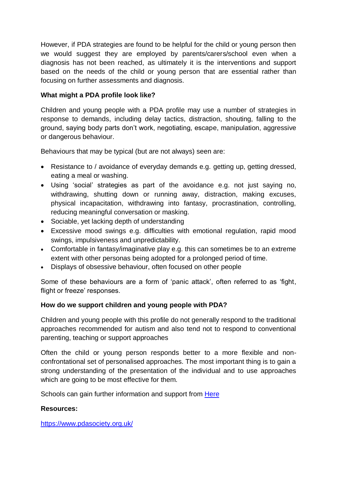However, if PDA strategies are found to be helpful for the child or young person then we would suggest they are employed by parents/carers/school even when a diagnosis has not been reached, as ultimately it is the interventions and support based on the needs of the child or young person that are essential rather than focusing on further assessments and diagnosis.

## **What might a PDA profile look like?**

Children and young people with a PDA profile may use a number of strategies in response to demands, including delay tactics, distraction, shouting, falling to the ground, saying body parts don't work, negotiating, escape, manipulation, aggressive or dangerous behaviour.

Behaviours that may be typical (but are not always) seen are:

- Resistance to / avoidance of everyday demands e.g. getting up, getting dressed, eating a meal or washing.
- Using 'social' strategies as part of the avoidance e.g. not just saying no, withdrawing, shutting down or running away, distraction, making excuses, physical incapacitation, withdrawing into fantasy, procrastination, controlling, reducing meaningful conversation or masking.
- Sociable, yet lacking depth of understanding
- Excessive mood swings e.g. difficulties with emotional regulation, rapid mood swings, impulsiveness and unpredictability.
- Comfortable in fantasy/imaginative play e.g. this can sometimes be to an extreme extent with other personas being adopted for a prolonged period of time.
- Displays of obsessive behaviour, often focused on other people

Some of these behaviours are a form of 'panic attack', often referred to as 'fight, flight or freeze' responses.

### **How do we support children and young people with PDA?**

Children and young people with this profile do not generally respond to the traditional approaches recommended for autism and also tend not to respond to conventional parenting, teaching or support approaches

Often the child or young person responds better to a more flexible and nonconfrontational set of personalised approaches. The most important thing is to gain a strong understanding of the presentation of the individual and to use approaches which are going to be most effective for them.

Schools can gain further information and support from [Here](https://www.pdasociety.org.uk/working-with-pda-menu/info-for-education-professionals/)

### **Resources:**

<https://www.pdasociety.org.uk/>